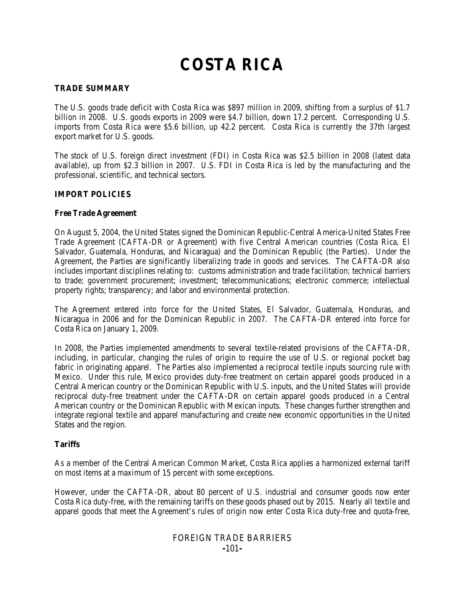# **COSTA RICA**

### **TRADE SUMMARY**

The U.S. goods trade deficit with Costa Rica was \$897 million in 2009, shifting from a surplus of \$1.7 billion in 2008. U.S. goods exports in 2009 were \$4.7 billion, down 17.2 percent. Corresponding U.S. imports from Costa Rica were \$5.6 billion, up 42.2 percent. Costa Rica is currently the 37th largest export market for U.S. goods.

The stock of U.S. foreign direct investment (FDI) in Costa Rica was \$2.5 billion in 2008 (latest data available), up from \$2.3 billion in 2007. U.S. FDI in Costa Rica is led by the manufacturing and the professional, scientific, and technical sectors.

### **IMPORT POLICIES**

#### **Free Trade Agreement**

On August 5, 2004, the United States signed the Dominican Republic-Central America-United States Free Trade Agreement (CAFTA-DR or Agreement) with five Central American countries (Costa Rica, El Salvador, Guatemala, Honduras, and Nicaragua) and the Dominican Republic (the Parties). Under the Agreement, the Parties are significantly liberalizing trade in goods and services. The CAFTA-DR also includes important disciplines relating to: customs administration and trade facilitation; technical barriers to trade; government procurement; investment; telecommunications; electronic commerce; intellectual property rights; transparency; and labor and environmental protection.

The Agreement entered into force for the United States, El Salvador, Guatemala, Honduras, and Nicaragua in 2006 and for the Dominican Republic in 2007. The CAFTA-DR entered into force for Costa Rica on January 1, 2009.

In 2008, the Parties implemented amendments to several textile-related provisions of the CAFTA-DR, including, in particular, changing the rules of origin to require the use of U.S. or regional pocket bag fabric in originating apparel. The Parties also implemented a reciprocal textile inputs sourcing rule with Mexico. Under this rule, Mexico provides duty-free treatment on certain apparel goods produced in a Central American country or the Dominican Republic with U.S. inputs, and the United States will provide reciprocal duty-free treatment under the CAFTA-DR on certain apparel goods produced in a Central American country or the Dominican Republic with Mexican inputs. These changes further strengthen and integrate regional textile and apparel manufacturing and create new economic opportunities in the United States and the region.

#### **Tariffs**

As a member of the Central American Common Market, Costa Rica applies a harmonized external tariff on most items at a maximum of 15 percent with some exceptions.

However, under the CAFTA-DR, about 80 percent of U.S. industrial and consumer goods now enter Costa Rica duty-free, with the remaining tariffs on these goods phased out by 2015. Nearly all textile and apparel goods that meet the Agreement's rules of origin now enter Costa Rica duty-free and quota-free,

# FOREIGN TRADE BARRIERS **-**101**-**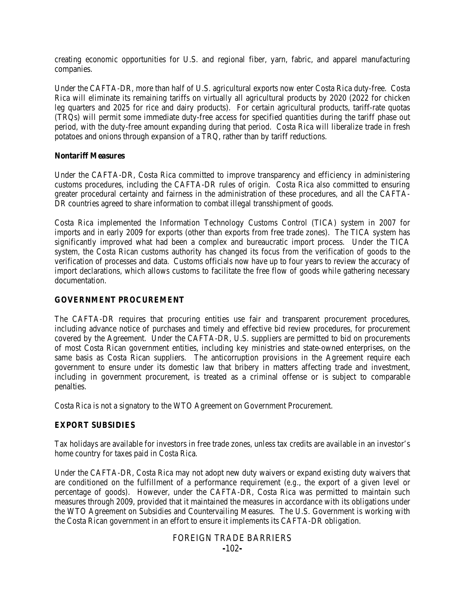creating economic opportunities for U.S. and regional fiber, yarn, fabric, and apparel manufacturing companies.

Under the CAFTA-DR, more than half of U.S. agricultural exports now enter Costa Rica duty-free. Costa Rica will eliminate its remaining tariffs on virtually all agricultural products by 2020 (2022 for chicken leg quarters and 2025 for rice and dairy products). For certain agricultural products, tariff-rate quotas (TRQs) will permit some immediate duty-free access for specified quantities during the tariff phase out period, with the duty-free amount expanding during that period. Costa Rica will liberalize trade in fresh potatoes and onions through expansion of a TRQ, rather than by tariff reductions.

#### **Nontariff Measures**

Under the CAFTA-DR, Costa Rica committed to improve transparency and efficiency in administering customs procedures, including the CAFTA-DR rules of origin. Costa Rica also committed to ensuring greater procedural certainty and fairness in the administration of these procedures, and all the CAFTA-DR countries agreed to share information to combat illegal transshipment of goods.

Costa Rica implemented the Information Technology Customs Control (TICA) system in 2007 for imports and in early 2009 for exports (other than exports from free trade zones). The TICA system has significantly improved what had been a complex and bureaucratic import process. Under the TICA system, the Costa Rican customs authority has changed its focus from the verification of goods to the verification of processes and data. Customs officials now have up to four years to review the accuracy of import declarations, which allows customs to facilitate the free flow of goods while gathering necessary documentation.

#### **GOVERNMENT PROCUREMENT**

The CAFTA-DR requires that procuring entities use fair and transparent procurement procedures, including advance notice of purchases and timely and effective bid review procedures, for procurement covered by the Agreement. Under the CAFTA-DR, U.S. suppliers are permitted to bid on procurements of most Costa Rican government entities, including key ministries and state-owned enterprises, on the same basis as Costa Rican suppliers. The anticorruption provisions in the Agreement require each government to ensure under its domestic law that bribery in matters affecting trade and investment, including in government procurement, is treated as a criminal offense or is subject to comparable penalties.

Costa Rica is not a signatory to the WTO Agreement on Government Procurement.

### **EXPORT SUBSIDIES**

Tax holidays are available for investors in free trade zones, unless tax credits are available in an investor's home country for taxes paid in Costa Rica.

Under the CAFTA-DR, Costa Rica may not adopt new duty waivers or expand existing duty waivers that are conditioned on the fulfillment of a performance requirement (*e.g.*, the export of a given level or percentage of goods). However, under the CAFTA-DR, Costa Rica was permitted to maintain such measures through 2009, provided that it maintained the measures in accordance with its obligations under the WTO Agreement on Subsidies and Countervailing Measures. The U.S. Government is working with the Costa Rican government in an effort to ensure it implements its CAFTA-DR obligation.

## FOREIGN TRADE BARRIERS **-**102**-**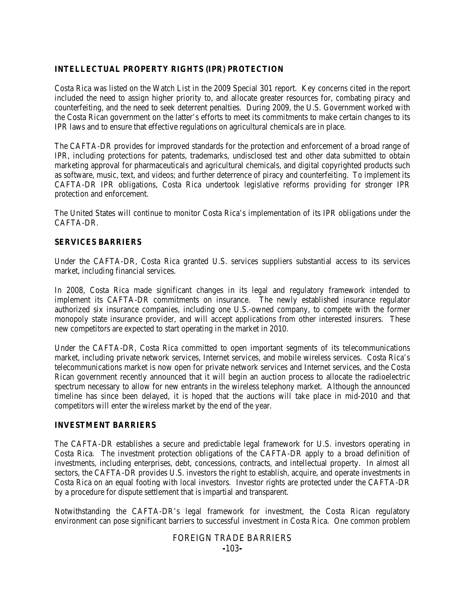# **INTELLECTUAL PROPERTY RIGHTS (IPR) PROTECTION**

Costa Rica was listed on the Watch List in the 2009 Special 301 report. Key concerns cited in the report included the need to assign higher priority to, and allocate greater resources for, combating piracy and counterfeiting, and the need to seek deterrent penalties. During 2009, the U.S. Government worked with the Costa Rican government on the latter's efforts to meet its commitments to make certain changes to its IPR laws and to ensure that effective regulations on agricultural chemicals are in place.

The CAFTA-DR provides for improved standards for the protection and enforcement of a broad range of IPR, including protections for patents, trademarks, undisclosed test and other data submitted to obtain marketing approval for pharmaceuticals and agricultural chemicals, and digital copyrighted products such as software, music, text, and videos; and further deterrence of piracy and counterfeiting. To implement its CAFTA-DR IPR obligations, Costa Rica undertook legislative reforms providing for stronger IPR protection and enforcement.

The United States will continue to monitor Costa Rica's implementation of its IPR obligations under the CAFTA-DR.

## **SERVICES BARRIERS**

Under the CAFTA-DR, Costa Rica granted U.S. services suppliers substantial access to its services market, including financial services.

In 2008, Costa Rica made significant changes in its legal and regulatory framework intended to implement its CAFTA-DR commitments on insurance. The newly established insurance regulator authorized six insurance companies, including one U.S.-owned company, to compete with the former monopoly state insurance provider, and will accept applications from other interested insurers. These new competitors are expected to start operating in the market in 2010.

Under the CAFTA-DR, Costa Rica committed to open important segments of its telecommunications market, including private network services, Internet services, and mobile wireless services. Costa Rica's telecommunications market is now open for private network services and Internet services, and the Costa Rican government recently announced that it will begin an auction process to allocate the radioelectric spectrum necessary to allow for new entrants in the wireless telephony market. Although the announced timeline has since been delayed, it is hoped that the auctions will take place in mid-2010 and that competitors will enter the wireless market by the end of the year.

### **INVESTMENT BARRIERS**

The CAFTA-DR establishes a secure and predictable legal framework for U.S. investors operating in Costa Rica. The investment protection obligations of the CAFTA-DR apply to a broad definition of investments, including enterprises, debt, concessions, contracts, and intellectual property. In almost all sectors, the CAFTA-DR provides U.S. investors the right to establish, acquire, and operate investments in Costa Rica on an equal footing with local investors. Investor rights are protected under the CAFTA-DR by a procedure for dispute settlement that is impartial and transparent.

Notwithstanding the CAFTA-DR's legal framework for investment, the Costa Rican regulatory environment can pose significant barriers to successful investment in Costa Rica. One common problem

# FOREIGN TRADE BARRIERS **-**103**-**